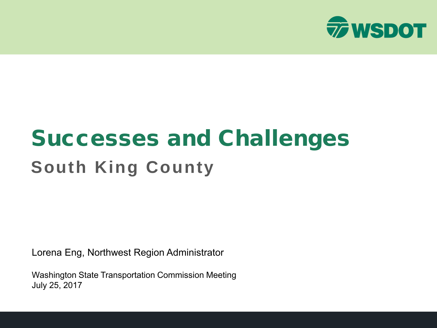

### Successes and Challenges **South King County**

Lorena Eng, Northwest Region Administrator

Washington State Transportation Commission Meeting July 25, 2017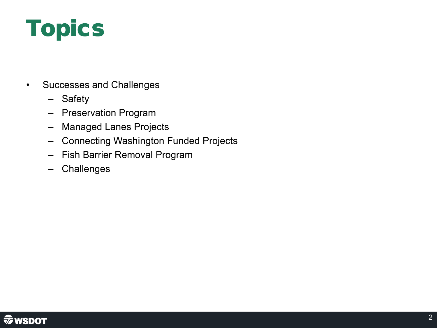## Topics

- Successes and Challenges
	- Safety
	- Preservation Program
	- Managed Lanes Projects
	- Connecting Washington Funded Projects
	- Fish Barrier Removal Program
	- Challenges

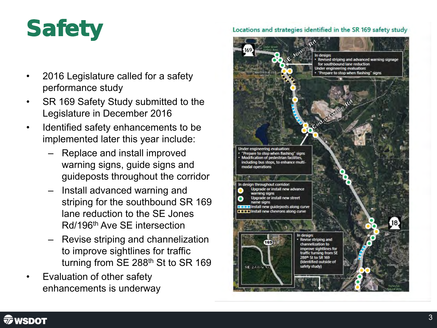## **Safety**

- 2016 Legislature called for a safety performance study
- SR 169 Safety Study submitted to the Legislature in December 2016
- Identified safety enhancements to be implemented later this year include:
	- Replace and install improved warning signs, guide signs and guideposts throughout the corridor
	- Install advanced warning and striping for the southbound SR 169 lane reduction to the SE Jones Rd/196th Ave SE intersection
	- Revise striping and channelization to improve sightlines for traffic turning from SE 288<sup>th</sup> St to SR 169
- Evaluation of other safety enhancements is underway

#### Locations and strategies identified in the SR 169 safety study



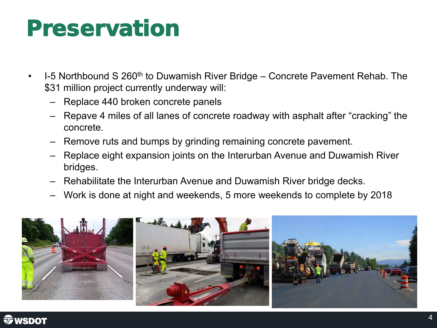#### Preservation

- 1-5 Northbound S 260<sup>th</sup> to Duwamish River Bridge Concrete Pavement Rehab. The \$31 million project currently underway will:
	- Replace 440 broken concrete panels
	- Repave 4 miles of all lanes of concrete roadway with asphalt after "cracking" the concrete.
	- Remove ruts and bumps by grinding remaining concrete pavement.
	- Replace eight expansion joints on the Interurban Avenue and Duwamish River bridges.
	- Rehabilitate the Interurban Avenue and Duwamish River bridge decks.
	- Work is done at night and weekends, 5 more weekends to complete by 2018



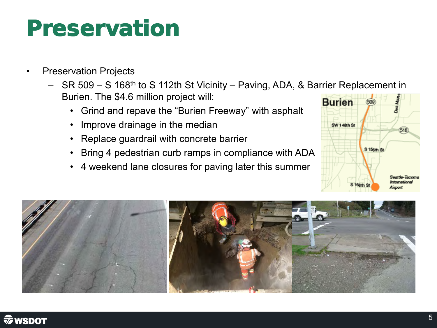#### Preservation

- **Preservation Projects** 
	- SR 509 S 168<sup>th</sup> to S 112th St Vicinity Paving, ADA, & Barrier Replacement in Burien. The \$4.6 million project will:
		- Grind and repave the "Burien Freeway" with asphalt
		- Improve drainage in the median
		- Replace guardrail with concrete barrier
		- Bring 4 pedestrian curb ramps in compliance with ADA
		- 4 weekend lane closures for paving later this summer





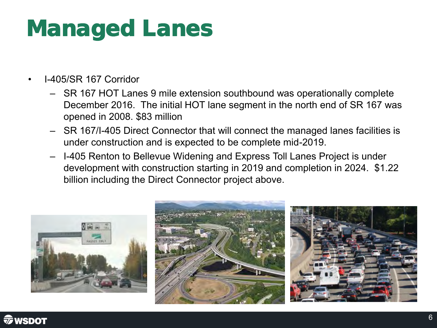### Managed Lanes

- I-405/SR 167 Corridor
	- SR 167 HOT Lanes 9 mile extension southbound was operationally complete December 2016. The initial HOT lane segment in the north end of SR 167 was opened in 2008. \$83 million
	- SR 167/I-405 Direct Connector that will connect the managed lanes facilities is under construction and is expected to be complete mid-2019.
	- I-405 Renton to Bellevue Widening and Express Toll Lanes Project is under development with construction starting in 2019 and completion in 2024. \$1.22 billion including the Direct Connector project above.

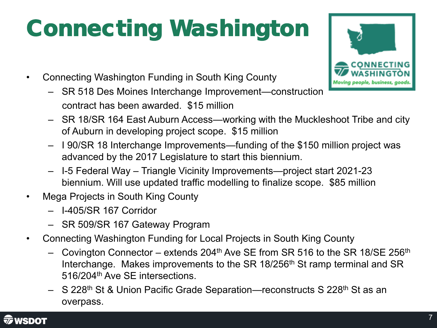## Connecting Washington

- Connecting Washington Funding in South King County
	- SR 518 Des Moines Interchange Improvement—construction contract has been awarded. \$15 million



- SR 18/SR 164 East Auburn Access—working with the Muckleshoot Tribe and city of Auburn in developing project scope. \$15 million
- I 90/SR 18 Interchange Improvements—funding of the \$150 million project was advanced by the 2017 Legislature to start this biennium.
- I-5 Federal Way Triangle Vicinity Improvements—project start 2021-23 biennium. Will use updated traffic modelling to finalize scope. \$85 million
- Mega Projects in South King County
	- I-405/SR 167 Corridor
	- SR 509/SR 167 Gateway Program
- Connecting Washington Funding for Local Projects in South King County
	- Covington Connector extends  $204<sup>th</sup>$  Ave SE from SR 516 to the SR 18/SE 256<sup>th</sup> Interchange. Makes improvements to the SR 18/256<sup>th</sup> St ramp terminal and SR 516/204th Ave SE intersections.
	- S 228<sup>th</sup> St & Union Pacific Grade Separation—reconstructs S 228<sup>th</sup> St as an overpass.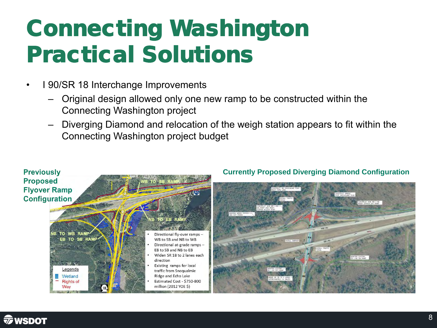## Connecting Washington Practical Solutions

- I 90/SR 18 Interchange Improvements
	- Original design allowed only one new ramp to be constructed within the Connecting Washington project
	- Diverging Diamond and relocation of the weigh station appears to fit within the Connecting Washington project budget



#### **Currently Proposed Diverging Diamond Configuration**



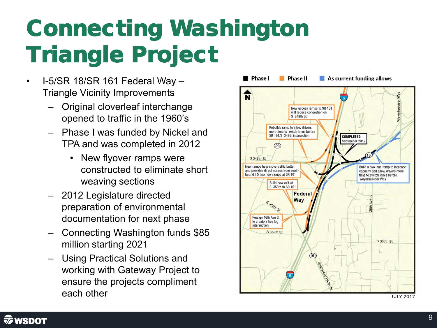## Connecting Washington Triangle Project

- I-5/SR 18/SR 161 Federal Way Triangle Vicinity Improvements
	- Original cloverleaf interchange opened to traffic in the 1960's
	- Phase I was funded by Nickel and TPA and was completed in 2012
		- New flyover ramps were constructed to eliminate short weaving sections
	- 2012 Legislature directed preparation of environmental documentation for next phase
	- Connecting Washington funds \$85 million starting 2021
	- Using Practical Solutions and working with Gateway Project to ensure the projects compliment each other



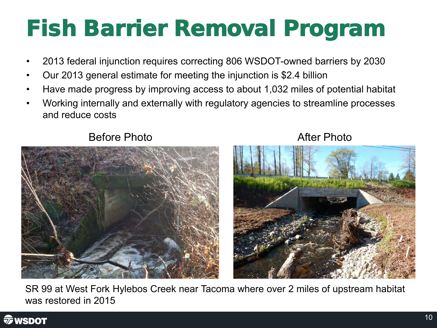## Fish Barrier Removal Program

- 2013 federal injunction requires correcting 806 WSDOT-owned barriers by 2030
- Our 2013 general estimate for meeting the injunction is \$2.4 billion
- Have made progress by improving access to about 1,032 miles of potential habitat
- Working internally and externally with regulatory agencies to streamline processes and reduce costs



Before Photo **After Photo** 



SR 99 at West Fork Hylebos Creek near Tacoma where over 2 miles of upstream habitat was restored in 2015

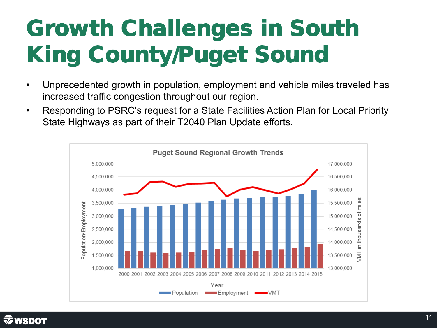## Growth Challenges in South King County/Puget Sound

- Unprecedented growth in population, employment and vehicle miles traveled has increased traffic congestion throughout our region.
- Responding to PSRC's request for a State Facilities Action Plan for Local Priority State Highways as part of their T2040 Plan Update efforts.